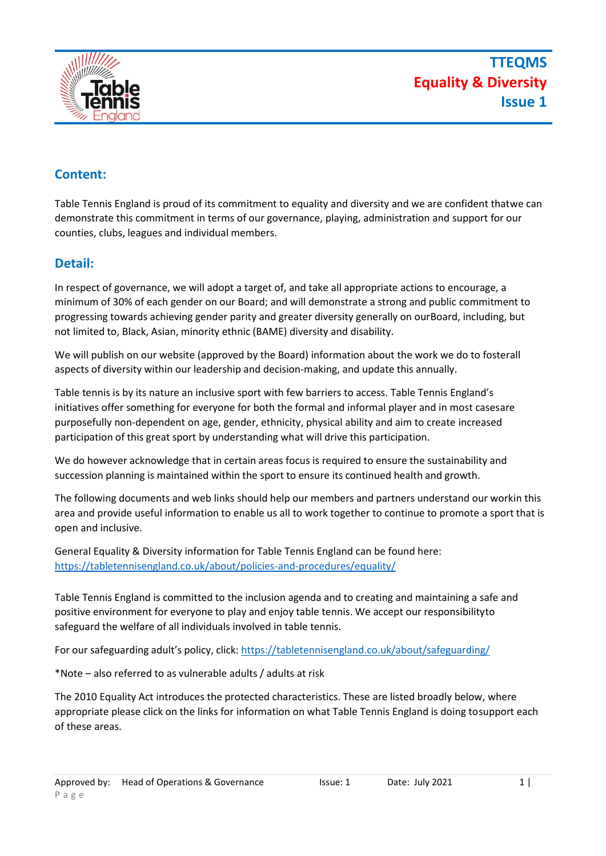

### **Content:**

Table Tennis England is proud of its commitment to equality and diversity and we are confident thatwe can demonstrate this commitment in terms of our governance, playing, administration and support for our counties, clubs, leagues and individual members.

#### **Detail:**

In respect of governance, we will adopt a target of, and take all appropriate actions to encourage, a minimum of 30% of each gender on our Board; and will demonstrate a strong and public commitment to progressing towards achieving gender parity and greater diversity generally on ourBoard, including, but not limited to, Black, Asian, minority ethnic (BAME) diversity and disability.

We will publish on our website (approved by the Board) information about the work we do to fosterall aspects of diversity within our leadership and decision-making, and update this annually.

Table tennis is by its nature an inclusive sport with few barriers to access. Table Tennis England's initiatives offer something for everyone for both the formal and informal player and in most casesare purposefully non-dependent on age, gender, ethnicity, physical ability and aim to create increased participation of this great sport by understanding what will drive this participation.

We do however acknowledge that in certain areas focus is required to ensure the sustainability and succession planning is maintained within the sport to ensure its continued health and growth.

The following documents and web links should help our members and partners understand our workin this area and provide useful information to enable us all to work together to continue to promote a sport that is open and inclusive.

General Equality & Diversity information for Table Tennis England can be found here: <https://tabletennisengland.co.uk/about/policies-and-procedures/equality/>

Table Tennis England is committed to the inclusion agenda and to creating and maintaining a safe and positive environment for everyone to play and enjoy table tennis. We accept our responsibilityto safeguard the welfare of all individuals involved in table tennis.

For our safeguarding adult's policy, click: <https://tabletennisengland.co.uk/about/safeguarding/>

\*Note – also referred to as vulnerable adults / adults at risk

The 2010 Equality Act introduces the protected characteristics. These are listed broadly below, where appropriate please click on the links for information on what Table Tennis England is doing tosupport each of these areas.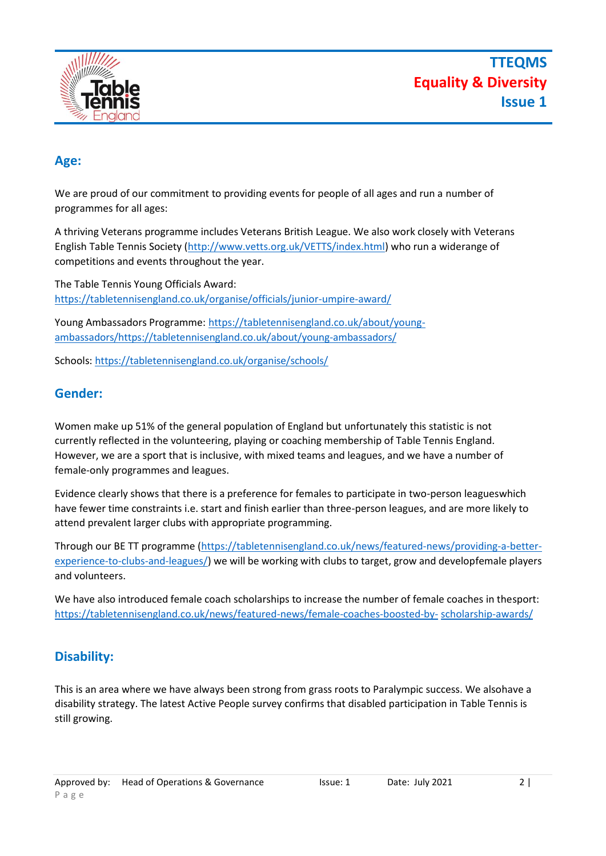

#### **Age:**

We are proud of our commitment to providing events for people of all ages and run a number of programmes for all ages:

A thriving Veterans programme includes Veterans British League. We also work closely with Veterans English Table Tennis Society [\(http://www.vetts.org.uk/VETTS/index.html\)](http://www.vetts.org.uk/VETTS/index.html) who run a widerange of competitions and events throughout the year.

The Table Tennis Young Officials Award: <https://tabletennisengland.co.uk/organise/officials/junior-umpire-award/>

Young Ambassadors Programme: https://tabletennisengland.co.uk/about/youngambassadors/https://tabletennisengland.co.uk/about/young-ambassadors/

Schools: <https://tabletennisengland.co.uk/organise/schools/>

#### **Gender:**

Women make up 51% of the general population of England but unfortunately this statistic is not currently reflected in the volunteering, playing or coaching membership of Table Tennis England. However, we are a sport that is inclusive, with mixed teams and leagues, and we have a number of female-only programmes and leagues.

Evidence clearly shows that there is a preference for females to participate in two-person leagueswhich have fewer time constraints i.e. start and finish earlier than three-person leagues, and are more likely to attend prevalent larger clubs with appropriate programming.

Through our BE TT programme [\(https://tabletennisengland.co.uk/news/featured-news/providing-a-better](https://tabletennisengland.co.uk/news/featured-news/providing-a-better-experience-to-clubs-and-leagues/)[experience-to-clubs-and-leagues/\)](https://tabletennisengland.co.uk/news/featured-news/providing-a-better-experience-to-clubs-and-leagues/) we will be working with clubs to target, grow and developfemale players and volunteers.

We have also introduced female coach scholarships to increase the number of female coaches in thesport: [https://tabletennisengland.co.uk/news/featured-news/female-coaches-boosted-by-](https://tabletennisengland.co.uk/news/featured-news/female-coaches-boosted-by-scholarship-awards/) [scholarship-awards/](https://tabletennisengland.co.uk/news/featured-news/female-coaches-boosted-by-scholarship-awards/)

# **Disability:**

This is an area where we have always been strong from grass roots to Paralympic success. We alsohave a disability strategy. The latest Active People survey confirms that disabled participation in Table Tennis is still growing.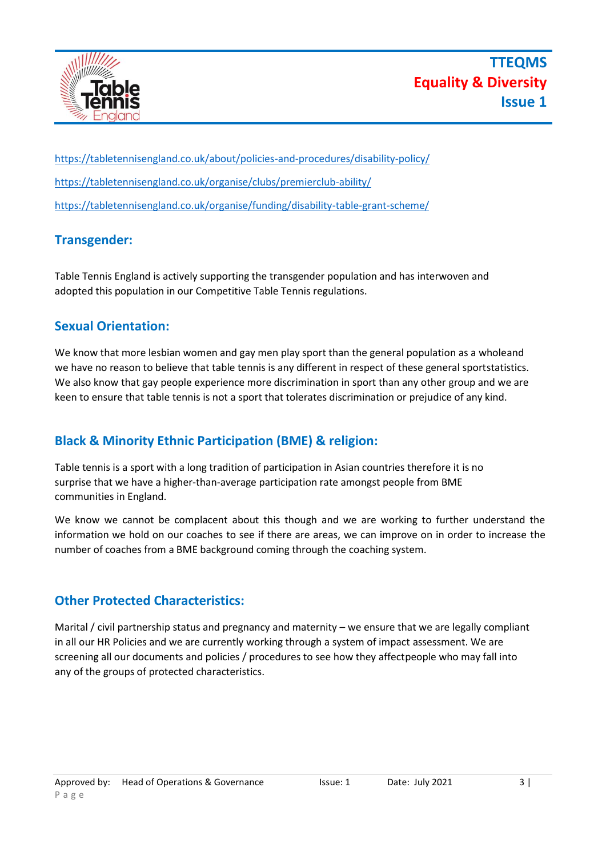

<https://tabletennisengland.co.uk/about/policies-and-procedures/disability-policy/> <https://tabletennisengland.co.uk/organise/clubs/premierclub-ability/> <https://tabletennisengland.co.uk/organise/funding/disability-table-grant-scheme/>

# **Transgender:**

Table Tennis England is actively supporting the transgender population and has interwoven and adopted this population in our Competitive Table Tennis regulations.

#### **Sexual Orientation:**

We know that more lesbian women and gay men play sport than the general population as a wholeand we have no reason to believe that table tennis is any different in respect of these general sportstatistics. We also know that gay people experience more discrimination in sport than any other group and we are keen to ensure that table tennis is not a sport that tolerates discrimination or prejudice of any kind.

# **Black & Minority Ethnic Participation (BME) & religion:**

Table tennis is a sport with a long tradition of participation in Asian countries therefore it is no surprise that we have a higher-than-average participation rate amongst people from BME communities in England.

We know we cannot be complacent about this though and we are working to further understand the information we hold on our coaches to see if there are areas, we can improve on in order to increase the number of coaches from a BME background coming through the coaching system.

# **Other Protected Characteristics:**

Marital / civil partnership status and pregnancy and maternity – we ensure that we are legally compliant in all our HR Policies and we are currently working through a system of impact assessment. We are screening all our documents and policies / procedures to see how they affectpeople who may fall into any of the groups of protected characteristics.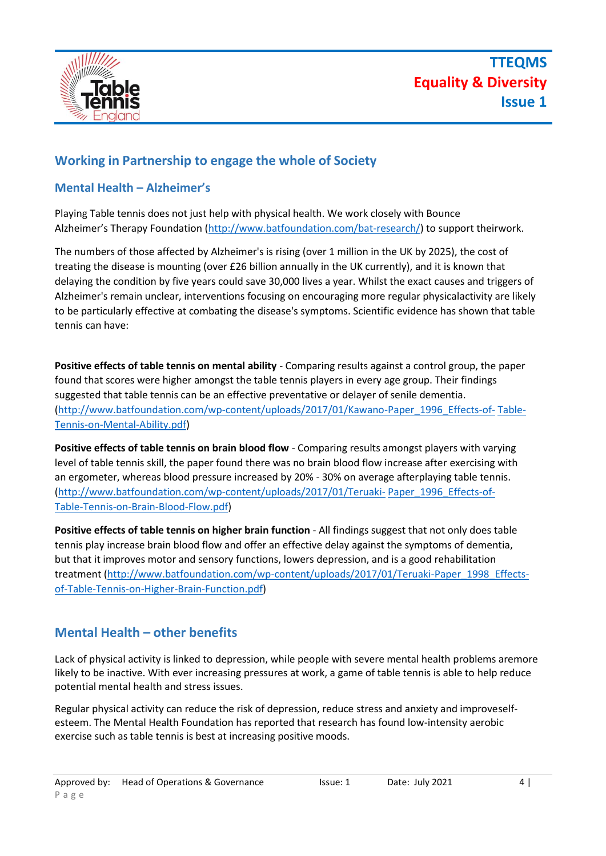

#### **Working in Partnership to engage the whole of Society**

#### **Mental Health – Alzheimer's**

Playing Table tennis does not just help with physical health. We work closely with Bounce Alzheimer's Therapy Foundation ([http://www.batfoundation.com/bat-research/\)](http://www.batfoundation.com/bat-research/) to support theirwork.

The numbers of those affected by Alzheimer's is rising (over 1 million in the UK by 2025), the cost of treating the disease is mounting (over £26 billion annually in the UK currently), and it is known that delaying the condition by five years could save 30,000 lives a year. Whilst the exact causes and triggers of Alzheimer's remain unclear, interventions focusing on encouraging more regular physicalactivity are likely to be particularly effective at combating the disease's symptoms. Scientific evidence has shown that table tennis can have:

**Positive effects of table tennis on mental ability** - Comparing results against a control group, the paper found that scores were higher amongst the table tennis players in every age group. Their findings suggested that table tennis can be an effective preventative or delayer of senile dementia. [\(http://www.batfoundation.com/wp-content/uploads/2017/01/Kawano-Paper\\_1996\\_Effects-of-](http://www.batfoundation.com/wp-content/uploads/2017/01/Kawano-Paper_1996_Effects-of-Table-Tennis-on-Mental-Ability.pdf) [Table-](http://www.batfoundation.com/wp-content/uploads/2017/01/Kawano-Paper_1996_Effects-of-Table-Tennis-on-Mental-Ability.pdf)[Tennis-on-Mental-Ability.pdf\)](http://www.batfoundation.com/wp-content/uploads/2017/01/Kawano-Paper_1996_Effects-of-Table-Tennis-on-Mental-Ability.pdf)

**Positive effects of table tennis on brain blood flow** - Comparing results amongst players with varying level of table tennis skill, the paper found there was no brain blood flow increase after exercising with an ergometer, whereas blood pressure increased by 20% - 30% on average afterplaying table tennis. [\(http://www.batfoundation.com/wp-content/uploads/2017/01/Teruaki-](http://www.batfoundation.com/wp-content/uploads/2017/01/Teruaki-Paper_1996_Effects-of-Table-Tennis-on-Brain-Blood-Flow.pdf) [Paper\\_1996\\_Effects-of-](http://www.batfoundation.com/wp-content/uploads/2017/01/Teruaki-Paper_1996_Effects-of-Table-Tennis-on-Brain-Blood-Flow.pdf)[Table-Tennis-on-Brain-Blood-Flow.pdf\)](http://www.batfoundation.com/wp-content/uploads/2017/01/Teruaki-Paper_1996_Effects-of-Table-Tennis-on-Brain-Blood-Flow.pdf)

**Positive effects of table tennis on higher brain function - All findings suggest that not only does table** tennis play increase brain blood flow and offer an effective delay against the symptoms of dementia, but that it improves motor and sensory functions, lowers depression, and is a good rehabilitation treatment [\(http://www.batfoundation.com/wp-content/uploads/2017/01/Teruaki-Paper\\_1998\\_Effects](http://www.batfoundation.com/wp-content/uploads/2017/01/Teruaki-Paper_1998_Effects-of-Table-Tennis-on-Higher-Brain-Function.pdf)[of-Table-Tennis-on-Higher-Brain-Function.pdf\)](http://www.batfoundation.com/wp-content/uploads/2017/01/Teruaki-Paper_1998_Effects-of-Table-Tennis-on-Higher-Brain-Function.pdf)

#### **Mental Health – other benefits**

Lack of physical activity is linked to depression, while people with severe mental health problems aremore likely to be inactive. With ever increasing pressures at work, a game of table tennis is able to help reduce potential mental health and stress issues.

Regular physical activity can reduce the risk of depression, reduce stress and anxiety and improveselfesteem. The Mental Health Foundation has reported that research has found low-intensity aerobic exercise such as table tennis is best at increasing positive moods.